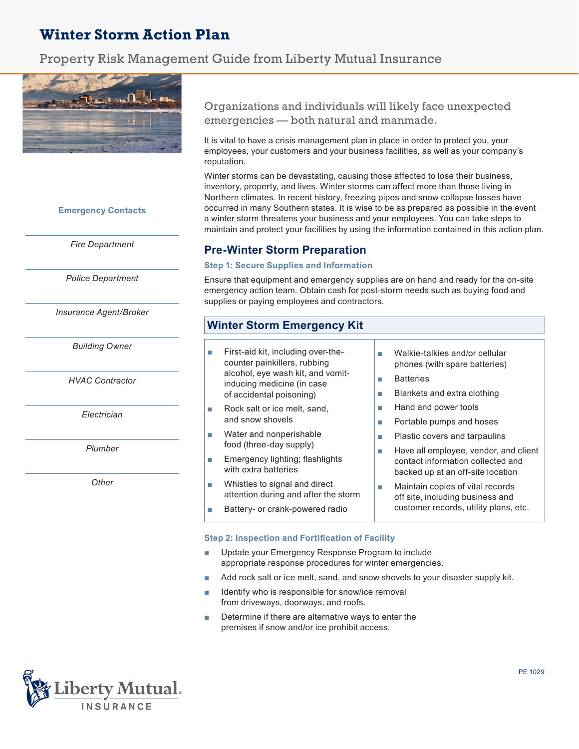# **Winter Storm Action Plan**

# Property Risk Management Guide from Liberty Mutual Insurance



### **Emergency Contacts**

*Fire Department*

*Police Department*

*Insurance Agent/Broker*

*Building Owner*

*HVAC Contractor*

*Electrician*

*Plumber*

*Other*

Organizations and individuals will likely face unexpected emergencies — both natural and manmade.

It is vital to have a crisis management plan in place in order to protect you, your employees, your customers and your business facilities, as well as your company's reputation.

Winter storms can be devastating, causing those affected to lose their business, inventory, property, and lives. Winter storms can affect more than those living in Northern climates. In recent history, freezing pipes and snow collapse losses have occurred in many Southern states. It is wise to be as prepared as possible in the event a winter storm threatens your business and your employees. You can take steps to maintain and protect your facilities by using the information contained in this action plan.

# **Pre-Winter Storm Preparation**

#### **Step 1: Secure Supplies and Information**

Ensure that equipment and emergency supplies are on hand and ready for the on-site emergency action team. Obtain cash for post-storm needs such as buying food and supplies or paying employees and contractors.

# **Winter Storm Emergency Kit**

- First-aid kit, including over-thecounter painkillers, rubbing alcohol, eye wash kit, and vomitinducing medicine (in case of accidental poisoning)
- Rock salt or ice melt, sand, and snow shovels
- Water and nonperishable food (three-day supply)
- Emergency lighting; flashlights with extra batteries
- Whistles to signal and direct attention during and after the storm
- Battery- or crank-powered radio
- Walkie-talkies and/or cellular phones (with spare batteries)
- Batteries
- Blankets and extra clothing
- Hand and power tools
- Portable pumps and hoses
- Plastic covers and tarpaulins
- Have all employee, vendor, and client contact information collected and backed up at an off-site location
- Maintain copies of vital records off site, including business and customer records, utility plans, etc.

#### **Step 2: Inspection and Fortification of Facility**

- Update your Emergency Response Program to include appropriate response procedures for winter emergencies.
- Add rock salt or ice melt, sand, and snow shovels to your disaster supply kit.
- Identify who is responsible for snow/ice removal from driveways, doorways, and roofs.
- Determine if there are alternative ways to enter the premises if snow and/or ice prohibit access.

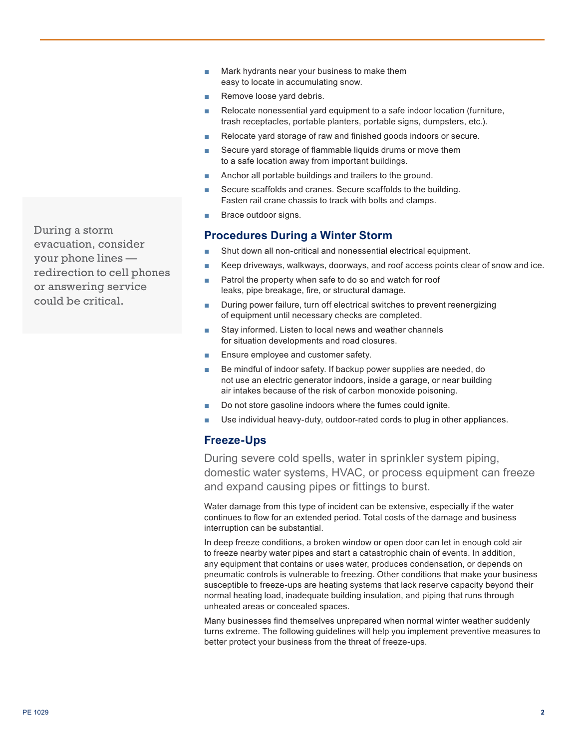- Mark hydrants near your business to make them easy to locate in accumulating snow.
- Remove loose yard debris.
- Relocate nonessential yard equipment to a safe indoor location (furniture, trash receptacles, portable planters, portable signs, dumpsters, etc.).
- Relocate yard storage of raw and finished goods indoors or secure.
- Secure yard storage of flammable liquids drums or move them to a safe location away from important buildings.
- Anchor all portable buildings and trailers to the ground.
- Secure scaffolds and cranes. Secure scaffolds to the building. Fasten rail crane chassis to track with bolts and clamps.
- Brace outdoor signs.

# **Procedures During a Winter Storm**

- Shut down all non-critical and nonessential electrical equipment.
- Keep driveways, walkways, doorways, and roof access points clear of snow and ice.
- Patrol the property when safe to do so and watch for roof leaks, pipe breakage, fire, or structural damage.
- During power failure, turn off electrical switches to prevent reenergizing of equipment until necessary checks are completed.
- Stay informed. Listen to local news and weather channels for situation developments and road closures.
- Ensure employee and customer safety.
- Be mindful of indoor safety. If backup power supplies are needed, do not use an electric generator indoors, inside a garage, or near building air intakes because of the risk of carbon monoxide poisoning.
- Do not store gasoline indoors where the fumes could ignite.
- Use individual heavy-duty, outdoor-rated cords to plug in other appliances.

# **Freeze-Ups**

During severe cold spells, water in sprinkler system piping, domestic water systems, HVAC, or process equipment can freeze and expand causing pipes or fittings to burst.

Water damage from this type of incident can be extensive, especially if the water continues to flow for an extended period. Total costs of the damage and business interruption can be substantial.

In deep freeze conditions, a broken window or open door can let in enough cold air to freeze nearby water pipes and start a catastrophic chain of events. In addition, any equipment that contains or uses water, produces condensation, or depends on pneumatic controls is vulnerable to freezing. Other conditions that make your business susceptible to freeze-ups are heating systems that lack reserve capacity beyond their normal heating load, inadequate building insulation, and piping that runs through unheated areas or concealed spaces.

Many businesses find themselves unprepared when normal winter weather suddenly turns extreme. The following guidelines will help you implement preventive measures to better protect your business from the threat of freeze-ups.

During a storm evacuation, consider your phone lines redirection to cell phones or answering service could be critical.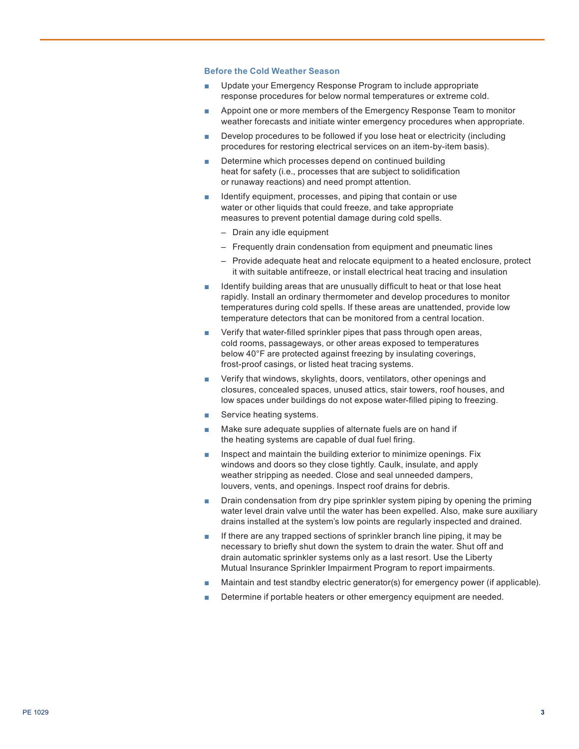#### **Before the Cold Weather Season**

- Update your Emergency Response Program to include appropriate response procedures for below normal temperatures or extreme cold.
- Appoint one or more members of the Emergency Response Team to monitor weather forecasts and initiate winter emergency procedures when appropriate.
- Develop procedures to be followed if you lose heat or electricity (including procedures for restoring electrical services on an item-by-item basis).
- Determine which processes depend on continued building heat for safety (i.e., processes that are subject to solidification or runaway reactions) and need prompt attention.
- Identify equipment, processes, and piping that contain or use water or other liquids that could freeze, and take appropriate measures to prevent potential damage during cold spells.
	- Drain any idle equipment
	- Frequently drain condensation from equipment and pneumatic lines
	- Provide adequate heat and relocate equipment to a heated enclosure, protect it with suitable antifreeze, or install electrical heat tracing and insulation
- Identify building areas that are unusually difficult to heat or that lose heat rapidly. Install an ordinary thermometer and develop procedures to monitor temperatures during cold spells. If these areas are unattended, provide low temperature detectors that can be monitored from a central location.
- Verify that water-filled sprinkler pipes that pass through open areas, cold rooms, passageways, or other areas exposed to temperatures below 40°F are protected against freezing by insulating coverings, frost-proof casings, or listed heat tracing systems.
- Verify that windows, skylights, doors, ventilators, other openings and closures, concealed spaces, unused attics, stair towers, roof houses, and low spaces under buildings do not expose water-filled piping to freezing.
- Service heating systems.
- Make sure adequate supplies of alternate fuels are on hand if the heating systems are capable of dual fuel firing.
- Inspect and maintain the building exterior to minimize openings. Fix windows and doors so they close tightly. Caulk, insulate, and apply weather stripping as needed. Close and seal unneeded dampers, louvers, vents, and openings. Inspect roof drains for debris.
- Drain condensation from dry pipe sprinkler system piping by opening the priming water level drain valve until the water has been expelled. Also, make sure auxiliary drains installed at the system's low points are regularly inspected and drained.
- If there are any trapped sections of sprinkler branch line piping, it may be necessary to briefly shut down the system to drain the water. Shut off and drain automatic sprinkler systems only as a last resort. Use the Liberty Mutual Insurance Sprinkler Impairment Program to report impairments.
- Maintain and test standby electric generator(s) for emergency power (if applicable).
- Determine if portable heaters or other emergency equipment are needed.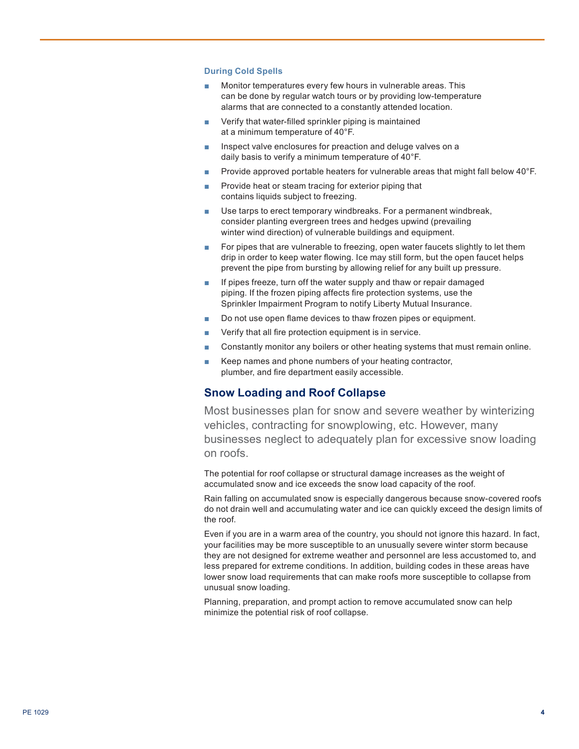#### **During Cold Spells**

- Monitor temperatures every few hours in vulnerable areas. This can be done by regular watch tours or by providing low-temperature alarms that are connected to a constantly attended location.
- Verify that water-filled sprinkler piping is maintained at a minimum temperature of 40°F.
- Inspect valve enclosures for preaction and deluge valves on a daily basis to verify a minimum temperature of 40°F.
- Provide approved portable heaters for vulnerable areas that might fall below 40°F.
- Provide heat or steam tracing for exterior piping that contains liquids subject to freezing.
- Use tarps to erect temporary windbreaks. For a permanent windbreak, consider planting evergreen trees and hedges upwind (prevailing winter wind direction) of vulnerable buildings and equipment.
- For pipes that are vulnerable to freezing, open water faucets slightly to let them drip in order to keep water flowing. Ice may still form, but the open faucet helps prevent the pipe from bursting by allowing relief for any built up pressure.
- If pipes freeze, turn off the water supply and thaw or repair damaged piping. If the frozen piping affects fire protection systems, use the Sprinkler Impairment Program to notify Liberty Mutual Insurance.
- Do not use open flame devices to thaw frozen pipes or equipment.
- Verify that all fire protection equipment is in service.
- Constantly monitor any boilers or other heating systems that must remain online.
- Keep names and phone numbers of your heating contractor, plumber, and fire department easily accessible.

### **Snow Loading and Roof Collapse**

Most businesses plan for snow and severe weather by winterizing vehicles, contracting for snowplowing, etc. However, many businesses neglect to adequately plan for excessive snow loading on roofs.

The potential for roof collapse or structural damage increases as the weight of accumulated snow and ice exceeds the snow load capacity of the roof.

Rain falling on accumulated snow is especially dangerous because snow-covered roofs do not drain well and accumulating water and ice can quickly exceed the design limits of the roof.

Even if you are in a warm area of the country, you should not ignore this hazard. In fact, your facilities may be more susceptible to an unusually severe winter storm because they are not designed for extreme weather and personnel are less accustomed to, and less prepared for extreme conditions. In addition, building codes in these areas have lower snow load requirements that can make roofs more susceptible to collapse from unusual snow loading.

Planning, preparation, and prompt action to remove accumulated snow can help minimize the potential risk of roof collapse.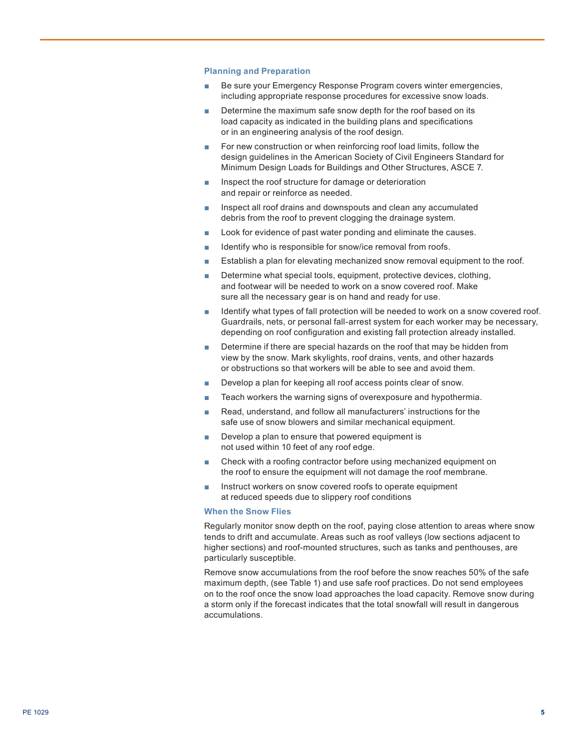#### **Planning and Preparation**

- Be sure your Emergency Response Program covers winter emergencies, including appropriate response procedures for excessive snow loads.
- Determine the maximum safe snow depth for the roof based on its load capacity as indicated in the building plans and specifications or in an engineering analysis of the roof design.
- For new construction or when reinforcing roof load limits, follow the design guidelines in the American Society of Civil Engineers Standard for Minimum Design Loads for Buildings and Other Structures, ASCE 7.
- Inspect the roof structure for damage or deterioration and repair or reinforce as needed.
- Inspect all roof drains and downspouts and clean any accumulated debris from the roof to prevent clogging the drainage system.
- Look for evidence of past water ponding and eliminate the causes.
- Identify who is responsible for snow/ice removal from roofs.
- Establish a plan for elevating mechanized snow removal equipment to the roof.
- Determine what special tools, equipment, protective devices, clothing, and footwear will be needed to work on a snow covered roof. Make sure all the necessary gear is on hand and ready for use.
- Identify what types of fall protection will be needed to work on a snow covered roof. Guardrails, nets, or personal fall-arrest system for each worker may be necessary, depending on roof configuration and existing fall protection already installed.
- Determine if there are special hazards on the roof that may be hidden from view by the snow. Mark skylights, roof drains, vents, and other hazards or obstructions so that workers will be able to see and avoid them.
- Develop a plan for keeping all roof access points clear of snow.
- Teach workers the warning signs of overexposure and hypothermia.
- Read, understand, and follow all manufacturers' instructions for the safe use of snow blowers and similar mechanical equipment.
- Develop a plan to ensure that powered equipment is not used within 10 feet of any roof edge.
- Check with a roofing contractor before using mechanized equipment on the roof to ensure the equipment will not damage the roof membrane.
- Instruct workers on snow covered roofs to operate equipment at reduced speeds due to slippery roof conditions

#### **When the Snow Flies**

Regularly monitor snow depth on the roof, paying close attention to areas where snow tends to drift and accumulate. Areas such as roof valleys (low sections adjacent to higher sections) and roof-mounted structures, such as tanks and penthouses, are particularly susceptible.

Remove snow accumulations from the roof before the snow reaches 50% of the safe maximum depth, (see Table 1) and use safe roof practices. Do not send employees on to the roof once the snow load approaches the load capacity. Remove snow during a storm only if the forecast indicates that the total snowfall will result in dangerous accumulations.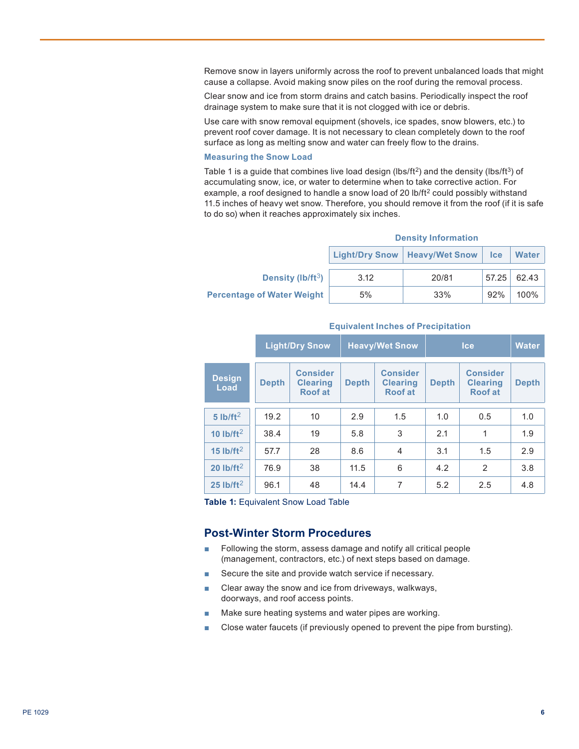Remove snow in layers uniformly across the roof to prevent unbalanced loads that might cause a collapse. Avoid making snow piles on the roof during the removal process.

Clear snow and ice from storm drains and catch basins. Periodically inspect the roof drainage system to make sure that it is not clogged with ice or debris.

Use care with snow removal equipment (shovels, ice spades, snow blowers, etc.) to prevent roof cover damage. It is not necessary to clean completely down to the roof surface as long as melting snow and water can freely flow to the drains.

#### **Measuring the Snow Load**

Table 1 is a guide that combines live load design (lbs/ft<sup>2</sup>) and the density (lbs/ft<sup>3</sup>) of accumulating snow, ice, or water to determine when to take corrective action. For example, a roof designed to handle a snow load of 20 lb/ft<sup>2</sup> could possibly withstand 11.5 inches of heavy wet snow. Therefore, you should remove it from the roof (if it is safe to do so) when it reaches approximately six inches.

#### **Density Information**

|                                   |      | Light/Dry Snow   Heavy/Wet Snow | <b>Ice</b> | Water |
|-----------------------------------|------|---------------------------------|------------|-------|
| Density (lb/ft $3$ )              | 3.12 | 20/81                           | 57.25      | 62.43 |
| <b>Percentage of Water Weight</b> | 5%   | 33%                             | 92%        | 100%  |

|                        | <b>Light/Dry Snow</b> |                                                      | <b>Heavy/Wet Snow</b> |                                                      | <b>Ice</b>   |                                                      | <b>Water</b> |
|------------------------|-----------------------|------------------------------------------------------|-----------------------|------------------------------------------------------|--------------|------------------------------------------------------|--------------|
| <b>Design</b><br>Load  | <b>Depth</b>          | <b>Consider</b><br><b>Clearing</b><br><b>Roof at</b> | <b>Depth</b>          | <b>Consider</b><br><b>Clearing</b><br><b>Roof at</b> | <b>Depth</b> | <b>Consider</b><br><b>Clearing</b><br><b>Roof at</b> | <b>Depth</b> |
| $5$ lb/ft <sup>2</sup> | 19.2                  | 10                                                   | 2.9                   | 1.5                                                  | 1.0          | 0.5                                                  | 1.0          |
| 10 $lb/ft^2$           | 38.4                  | 19                                                   | 5.8                   | 3                                                    | 2.1          | 1                                                    | 1.9          |
| 15 $lb/ft2$            | 57.7                  | 28                                                   | 8.6                   | $\overline{4}$                                       | 3.1          | 1.5                                                  | 2.9          |
| 20 $lb/ft2$            | 76.9                  | 38                                                   | 11.5                  | 6                                                    | 4.2          | 2                                                    | 3.8          |
| 25 $1b/ft2$            | 96.1                  | 48                                                   | 14.4                  | 7                                                    | 5.2          | 2.5                                                  | 4.8          |

#### **Equivalent Inches of Precipitation**

**Table 1:** Equivalent Snow Load Table

### **Post-Winter Storm Procedures**

- Following the storm, assess damage and notify all critical people (management, contractors, etc.) of next steps based on damage.
- Secure the site and provide watch service if necessary.
- Clear away the snow and ice from driveways, walkways, doorways, and roof access points.
- Make sure heating systems and water pipes are working.
- Close water faucets (if previously opened to prevent the pipe from bursting).